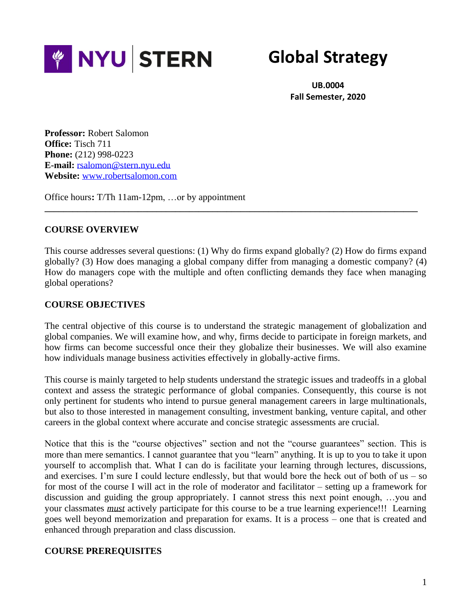

# **Global Strategy**

**UB.0004 Fall Semester, 2020**

**Professor:** Robert Salomon **Office:** Tisch 711 **Phone:** (212) 998-0223 **E-mail:** [rsalomon@stern.nyu.edu](mailto:rsalomon@stern.nyu.edu) **Website:** [www.robertsalomon.com](http://www.robertsalomon.com/)

Office hours**:** T/Th 11am-12pm, …or by appointment

#### **COURSE OVERVIEW**

This course addresses several questions: (1) Why do firms expand globally? (2) How do firms expand globally? (3) How does managing a global company differ from managing a domestic company? (4) How do managers cope with the multiple and often conflicting demands they face when managing global operations?

**\_\_\_\_\_\_\_\_\_\_\_\_\_\_\_\_\_\_\_\_\_\_\_\_\_\_\_\_\_\_\_\_\_\_\_\_\_\_\_\_\_\_\_\_\_\_\_\_\_\_\_\_\_\_\_\_\_\_\_\_\_\_\_\_\_\_\_\_\_\_\_\_\_\_\_\_\_\_\_\_**

#### **COURSE OBJECTIVES**

The central objective of this course is to understand the strategic management of globalization and global companies. We will examine how, and why, firms decide to participate in foreign markets, and how firms can become successful once their they globalize their businesses. We will also examine how individuals manage business activities effectively in globally-active firms.

This course is mainly targeted to help students understand the strategic issues and tradeoffs in a global context and assess the strategic performance of global companies. Consequently, this course is not only pertinent for students who intend to pursue general management careers in large multinationals, but also to those interested in management consulting, investment banking, venture capital, and other careers in the global context where accurate and concise strategic assessments are crucial.

Notice that this is the "course objectives" section and not the "course guarantees" section. This is more than mere semantics. I cannot guarantee that you "learn" anything. It is up to you to take it upon yourself to accomplish that. What I can do is facilitate your learning through lectures, discussions, and exercises. I'm sure I could lecture endlessly, but that would bore the heck out of both of us – so for most of the course I will act in the role of moderator and facilitator – setting up a framework for discussion and guiding the group appropriately. I cannot stress this next point enough, …you and your classmates *must* actively participate for this course to be a true learning experience!!! Learning goes well beyond memorization and preparation for exams. It is a process – one that is created and enhanced through preparation and class discussion.

## **COURSE PREREQUISITES**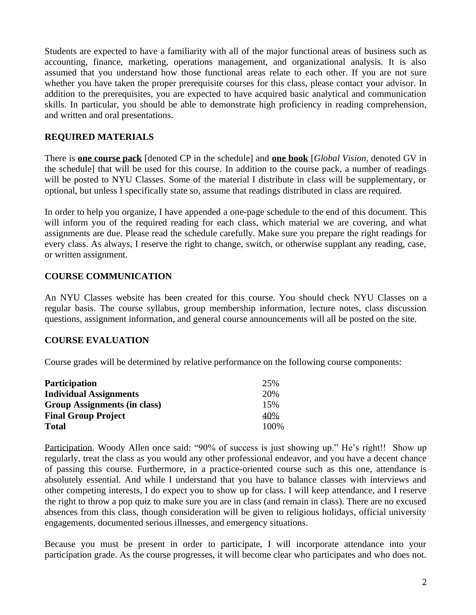Students are expected to have a familiarity with all of the major functional areas of business such as accounting, finance, marketing, operations management, and organizational analysis. It is also assumed that you understand how those functional areas relate to each other. If you are not sure whether you have taken the proper prerequisite courses for this class, please contact your advisor. In addition to the prerequisites, you are expected to have acquired basic analytical and communication skills. In particular, you should be able to demonstrate high proficiency in reading comprehension, and written and oral presentations.

## **REQUIRED MATERIALS**

There is **one course pack** [denoted CP in the schedule] and **one book** [*Global Vision*, denoted GV in the schedule] that will be used for this course. In addition to the course pack, a number of readings will be posted to NYU Classes. Some of the material I distribute in class will be supplementary, or optional, but unless I specifically state so, assume that readings distributed in class are required.

In order to help you organize, I have appended a one-page schedule to the end of this document. This will inform you of the required reading for each class, which material we are covering, and what assignments are due. Please read the schedule carefully. Make sure you prepare the right readings for every class. As always, I reserve the right to change, switch, or otherwise supplant any reading, case, or written assignment.

#### **COURSE COMMUNICATION**

An NYU Classes website has been created for this course. You should check NYU Classes on a regular basis. The course syllabus, group membership information, lecture notes, class discussion questions, assignment information, and general course announcements will all be posted on the site.

#### **COURSE EVALUATION**

Course grades will be determined by relative performance on the following course components:

| <b>Participation</b>          | 25%   |
|-------------------------------|-------|
| <b>Individual Assignments</b> | 20%   |
| Group Assignments (in class)  | 15%   |
| <b>Final Group Project</b>    | 40%   |
| <b>Total</b>                  | 100\% |

Participation. Woody Allen once said: "90% of success is just showing up." He's right!! Show up regularly, treat the class as you would any other professional endeavor, and you have a decent chance of passing this course. Furthermore, in a practice-oriented course such as this one, attendance is absolutely essential. And while I understand that you have to balance classes with interviews and other competing interests, I do expect you to show up for class. I will keep attendance, and I reserve the right to throw a pop quiz to make sure you are in class (and remain in class). There are no excused absences from this class, though consideration will be given to religious holidays, official university engagements, documented serious illnesses, and emergency situations.

Because you must be present in order to participate, I will incorporate attendance into your participation grade. As the course progresses, it will become clear who participates and who does not.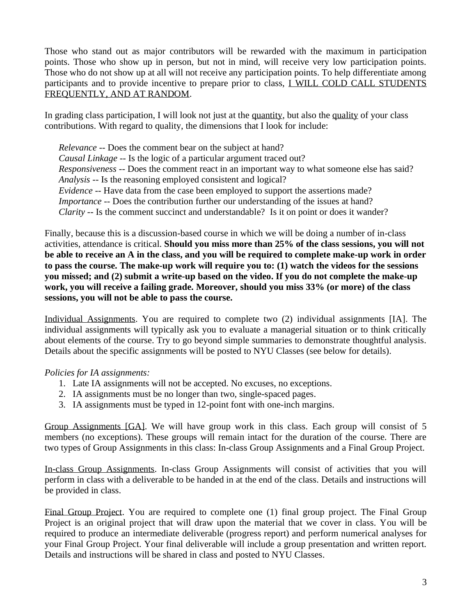Those who stand out as major contributors will be rewarded with the maximum in participation points. Those who show up in person, but not in mind, will receive very low participation points. Those who do not show up at all will not receive any participation points. To help differentiate among participants and to provide incentive to prepare prior to class, I WILL COLD CALL STUDENTS FREQUENTLY, AND AT RANDOM.

In grading class participation, I will look not just at the quantity, but also the quality of your class contributions. With regard to quality, the dimensions that I look for include:

*Relevance* -- Does the comment bear on the subject at hand? *Causal Linkage* -- Is the logic of a particular argument traced out? *Responsiveness* -- Does the comment react in an important way to what someone else has said? *Analysis* -- Is the reasoning employed consistent and logical? *Evidence* -- Have data from the case been employed to support the assertions made? *Importance* -- Does the contribution further our understanding of the issues at hand? *Clarity* -- Is the comment succinct and understandable? Is it on point or does it wander?

Finally, because this is a discussion-based course in which we will be doing a number of in-class activities, attendance is critical. **Should you miss more than 25% of the class sessions, you will not be able to receive an A in the class, and you will be required to complete make-up work in order to pass the course. The make-up work will require you to: (1) watch the videos for the sessions you missed; and (2) submit a write-up based on the video. If you do not complete the make-up work, you will receive a failing grade. Moreover, should you miss 33% (or more) of the class sessions, you will not be able to pass the course.**

Individual Assignments. You are required to complete two (2) individual assignments [IA]. The individual assignments will typically ask you to evaluate a managerial situation or to think critically about elements of the course. Try to go beyond simple summaries to demonstrate thoughtful analysis. Details about the specific assignments will be posted to NYU Classes (see below for details).

## *Policies for IA assignments:*

- 1. Late IA assignments will not be accepted. No excuses, no exceptions.
- 2. IA assignments must be no longer than two, single-spaced pages.
- 3. IA assignments must be typed in 12-point font with one-inch margins.

Group Assignments [GA]. We will have group work in this class. Each group will consist of 5 members (no exceptions). These groups will remain intact for the duration of the course. There are two types of Group Assignments in this class: In-class Group Assignments and a Final Group Project.

In-class Group Assignments. In-class Group Assignments will consist of activities that you will perform in class with a deliverable to be handed in at the end of the class. Details and instructions will be provided in class.

Final Group Project. You are required to complete one (1) final group project. The Final Group Project is an original project that will draw upon the material that we cover in class. You will be required to produce an intermediate deliverable (progress report) and perform numerical analyses for your Final Group Project. Your final deliverable will include a group presentation and written report. Details and instructions will be shared in class and posted to NYU Classes.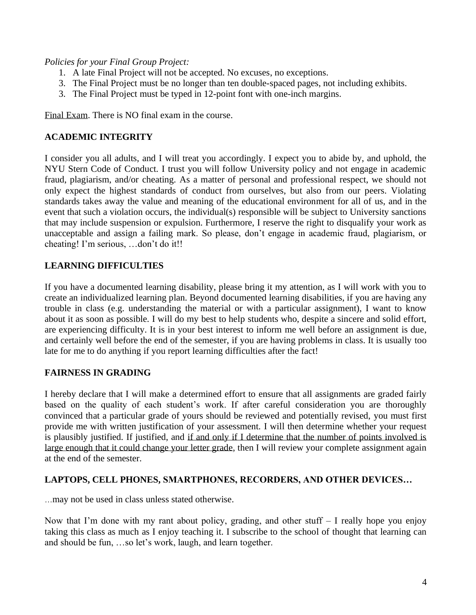*Policies for your Final Group Project:*

- 1. A late Final Project will not be accepted. No excuses, no exceptions.
- 3. The Final Project must be no longer than ten double-spaced pages, not including exhibits.
- 3. The Final Project must be typed in 12-point font with one-inch margins.

Final Exam. There is NO final exam in the course.

# **ACADEMIC INTEGRITY**

I consider you all adults, and I will treat you accordingly. I expect you to abide by, and uphold, the NYU Stern Code of Conduct. I trust you will follow University policy and not engage in academic fraud, plagiarism, and/or cheating. As a matter of personal and professional respect, we should not only expect the highest standards of conduct from ourselves, but also from our peers. Violating standards takes away the value and meaning of the educational environment for all of us, and in the event that such a violation occurs, the individual(s) responsible will be subject to University sanctions that may include suspension or expulsion. Furthermore, I reserve the right to disqualify your work as unacceptable and assign a failing mark. So please, don't engage in academic fraud, plagiarism, or cheating! I'm serious, …don't do it!!

## **LEARNING DIFFICULTIES**

If you have a documented learning disability, please bring it my attention, as I will work with you to create an individualized learning plan. Beyond documented learning disabilities, if you are having any trouble in class (e.g. understanding the material or with a particular assignment), I want to know about it as soon as possible. I will do my best to help students who, despite a sincere and solid effort, are experiencing difficulty. It is in your best interest to inform me well before an assignment is due, and certainly well before the end of the semester, if you are having problems in class. It is usually too late for me to do anything if you report learning difficulties after the fact!

## **FAIRNESS IN GRADING**

I hereby declare that I will make a determined effort to ensure that all assignments are graded fairly based on the quality of each student's work. If after careful consideration you are thoroughly convinced that a particular grade of yours should be reviewed and potentially revised, you must first provide me with written justification of your assessment. I will then determine whether your request is plausibly justified. If justified, and if and only if I determine that the number of points involved is large enough that it could change your letter grade, then I will review your complete assignment again at the end of the semester.

## **LAPTOPS, CELL PHONES, SMARTPHONES, RECORDERS, AND OTHER DEVICES…**

…may not be used in class unless stated otherwise.

Now that I'm done with my rant about policy, grading, and other stuff – I really hope you enjoy taking this class as much as I enjoy teaching it. I subscribe to the school of thought that learning can and should be fun, …so let's work, laugh, and learn together.